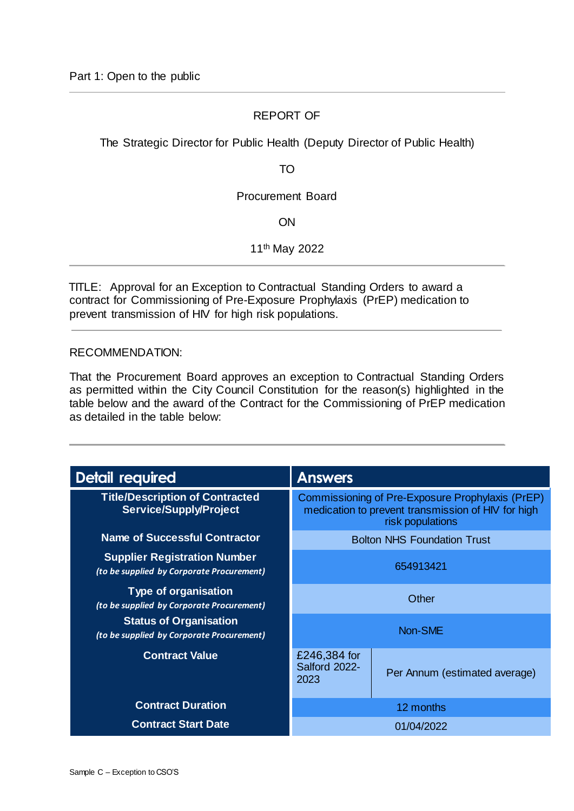# REPORT OF

The Strategic Director for Public Health (Deputy Director of Public Health)

TO

Procurement Board

ON

11th May 2022

TITLE: Approval for an Exception to Contractual Standing Orders to award a contract for Commissioning of Pre-Exposure Prophylaxis (PrEP) medication to prevent transmission of HIV for high risk populations.

#### RECOMMENDATION:

That the Procurement Board approves an exception to Contractual Standing Orders as permitted within the City Council Constitution for the reason(s) highlighted in the table below and the award of the Contract for the Commissioning of PrEP medication as detailed in the table below:

| <b>Detail required</b>                                                           | <b>Answers</b>                                                                                                             |                               |  |
|----------------------------------------------------------------------------------|----------------------------------------------------------------------------------------------------------------------------|-------------------------------|--|
| <b>Title/Description of Contracted</b><br><b>Service/Supply/Project</b>          | Commissioning of Pre-Exposure Prophylaxis (PrEP)<br>medication to prevent transmission of HIV for high<br>risk populations |                               |  |
| <b>Name of Successful Contractor</b>                                             | <b>Bolton NHS Foundation Trust</b>                                                                                         |                               |  |
| <b>Supplier Registration Number</b><br>(to be supplied by Corporate Procurement) | 654913421                                                                                                                  |                               |  |
| <b>Type of organisation</b><br>(to be supplied by Corporate Procurement)         | Other                                                                                                                      |                               |  |
| <b>Status of Organisation</b><br>(to be supplied by Corporate Procurement)       | Non-SME                                                                                                                    |                               |  |
| <b>Contract Value</b>                                                            | £246,384 for<br>Salford 2022-<br>2023                                                                                      | Per Annum (estimated average) |  |
| <b>Contract Duration</b>                                                         | 12 months                                                                                                                  |                               |  |
| <b>Contract Start Date</b>                                                       | 01/04/2022                                                                                                                 |                               |  |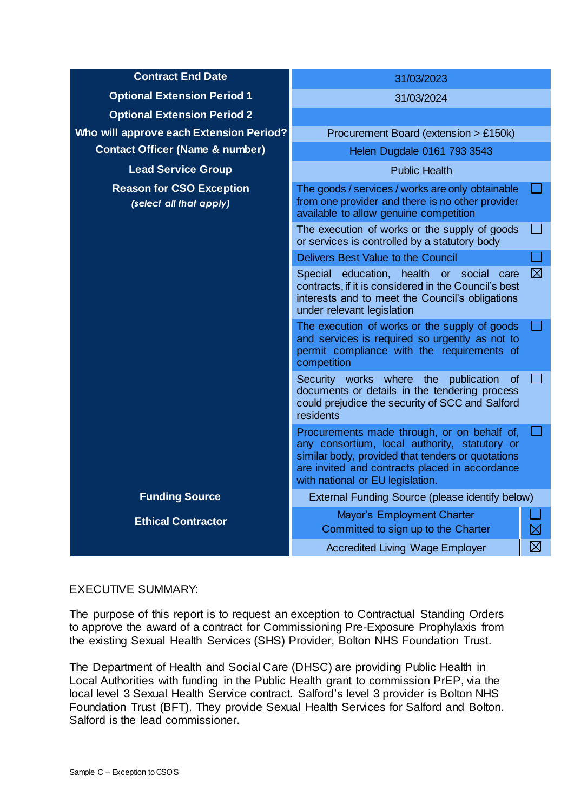| <b>Contract End Date</b>                                   | 31/03/2023                                                                                                                                                                                                                              |             |  |
|------------------------------------------------------------|-----------------------------------------------------------------------------------------------------------------------------------------------------------------------------------------------------------------------------------------|-------------|--|
| <b>Optional Extension Period 1</b>                         | 31/03/2024                                                                                                                                                                                                                              |             |  |
| <b>Optional Extension Period 2</b>                         |                                                                                                                                                                                                                                         |             |  |
| Who will approve each Extension Period?                    | Procurement Board (extension > £150k)                                                                                                                                                                                                   |             |  |
| <b>Contact Officer (Name &amp; number)</b>                 | Helen Dugdale 0161 793 3543                                                                                                                                                                                                             |             |  |
| <b>Lead Service Group</b>                                  | <b>Public Health</b>                                                                                                                                                                                                                    |             |  |
|                                                            |                                                                                                                                                                                                                                         |             |  |
| <b>Reason for CSO Exception</b><br>(select all that apply) | The goods / services / works are only obtainable<br>from one provider and there is no other provider<br>available to allow genuine competition                                                                                          |             |  |
|                                                            | The execution of works or the supply of goods<br>or services is controlled by a statutory body                                                                                                                                          |             |  |
|                                                            | Delivers Best Value to the Council                                                                                                                                                                                                      |             |  |
|                                                            | Special education, health or social care<br>contracts, if it is considered in the Council's best<br>interests and to meet the Council's obligations<br>under relevant legislation                                                       | $\boxtimes$ |  |
|                                                            | The execution of works or the supply of goods<br>and services is required so urgently as not to<br>permit compliance with the requirements of<br>competition                                                                            |             |  |
|                                                            | Security works where the<br>publication<br><b>of</b><br>documents or details in the tendering process<br>could prejudice the security of SCC and Salford<br>residents                                                                   |             |  |
|                                                            | Procurements made through, or on behalf of,<br>any consortium, local authority, statutory or<br>similar body, provided that tenders or quotations<br>are invited and contracts placed in accordance<br>with national or EU legislation. |             |  |
| <b>Funding Source</b>                                      | External Funding Source (please identify below)                                                                                                                                                                                         |             |  |
| <b>Ethical Contractor</b>                                  | Mayor's Employment Charter<br>Committed to sign up to the Charter                                                                                                                                                                       | $\boxtimes$ |  |
|                                                            | <b>Accredited Living Wage Employer</b>                                                                                                                                                                                                  | $\boxtimes$ |  |

## EXECUTIVE SUMMARY:

The purpose of this report is to request an exception to Contractual Standing Orders to approve the award of a contract for Commissioning Pre-Exposure Prophylaxis from the existing Sexual Health Services (SHS) Provider, Bolton NHS Foundation Trust.

The Department of Health and Social Care (DHSC) are providing Public Health in Local Authorities with funding in the Public Health grant to commission PrEP, via the local level 3 Sexual Health Service contract. Salford's level 3 provider is Bolton NHS Foundation Trust (BFT). They provide Sexual Health Services for Salford and Bolton. Salford is the lead commissioner.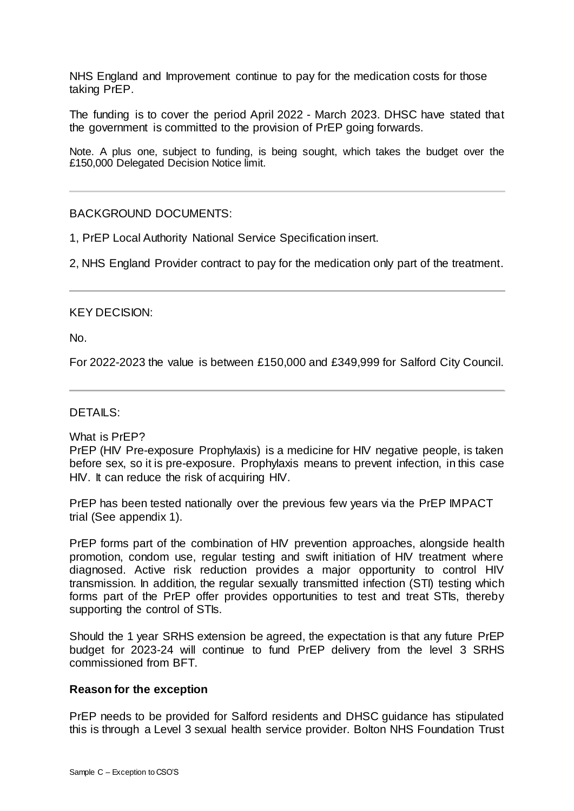NHS England and Improvement continue to pay for the medication costs for those taking PrEP.

The funding is to cover the period April 2022 - March 2023. DHSC have stated that the government is committed to the provision of PrEP going forwards.

Note. A plus one, subject to funding, is being sought, which takes the budget over the £150,000 Delegated Decision Notice limit.

## BACKGROUND DOCUMENTS:

1, PrEP Local Authority National Service Specification insert.

2, NHS England Provider contract to pay for the medication only part of the treatment.

#### KEY DECISION:

No.

For 2022-2023 the value is between £150,000 and £349,999 for Salford City Council.

#### DETAILS:

What is PrEP?

PrEP (HIV Pre-exposure Prophylaxis) is a medicine for HIV negative people, is taken before sex, so it is pre-exposure. Prophylaxis means to prevent infection, in this case HIV. It can reduce the risk of acquiring HIV.

PrEP has been tested nationally over the previous few years via the PrEP IMPACT trial (See appendix 1).

PrEP forms part of the combination of HIV prevention approaches, alongside health promotion, condom use, regular testing and swift initiation of HIV treatment where diagnosed. Active risk reduction provides a major opportunity to control HIV transmission. In addition, the regular sexually transmitted infection (STI) testing which forms part of the PrEP offer provides opportunities to test and treat STIs, thereby supporting the control of STIs.

Should the 1 year SRHS extension be agreed, the expectation is that any future PrEP budget for 2023-24 will continue to fund PrEP delivery from the level 3 SRHS commissioned from BFT.

#### **Reason for the exception**

PrEP needs to be provided for Salford residents and DHSC guidance has stipulated this is through a Level 3 sexual health service provider. Bolton NHS Foundation Trust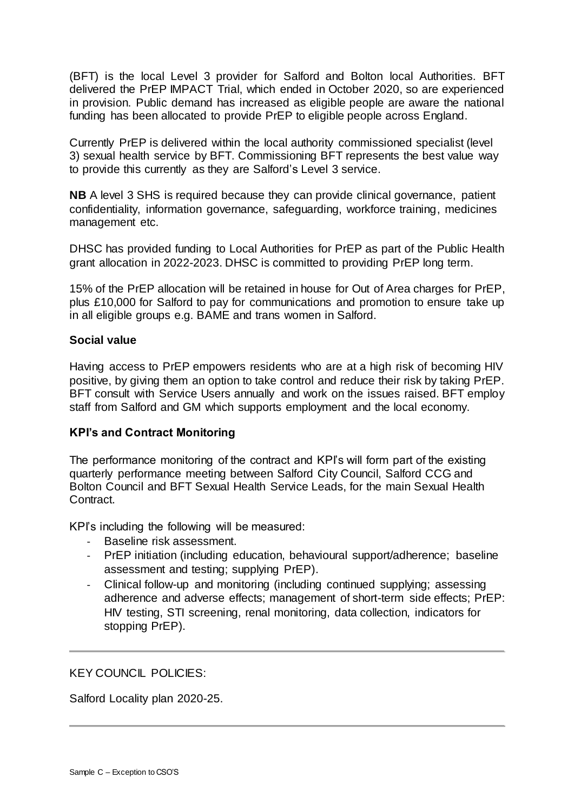(BFT) is the local Level 3 provider for Salford and Bolton local Authorities. BFT delivered the PrEP IMPACT Trial, which ended in October 2020, so are experienced in provision. Public demand has increased as eligible people are aware the national funding has been allocated to provide PrEP to eligible people across England.

Currently PrEP is delivered within the local authority commissioned specialist (level 3) sexual health service by BFT. Commissioning BFT represents the best value way to provide this currently as they are Salford's Level 3 service.

**NB** A level 3 SHS is required because they can provide clinical governance, patient confidentiality, information governance, safeguarding, workforce training, medicines management etc.

DHSC has provided funding to Local Authorities for PrEP as part of the Public Health grant allocation in 2022-2023. DHSC is committed to providing PrEP long term.

15% of the PrEP allocation will be retained in house for Out of Area charges for PrEP, plus £10,000 for Salford to pay for communications and promotion to ensure take up in all eligible groups e.g. BAME and trans women in Salford.

## **Social value**

Having access to PrEP empowers residents who are at a high risk of becoming HIV positive, by giving them an option to take control and reduce their risk by taking PrEP. BFT consult with Service Users annually and work on the issues raised. BFT employ staff from Salford and GM which supports employment and the local economy.

## **KPI's and Contract Monitoring**

The performance monitoring of the contract and KPI's will form part of the existing quarterly performance meeting between Salford City Council, Salford CCG and Bolton Council and BFT Sexual Health Service Leads, for the main Sexual Health Contract.

KPI's including the following will be measured:

- Baseline risk assessment.
- PrEP initiation (including education, behavioural support/adherence; baseline assessment and testing; supplying PrEP).
- Clinical follow-up and monitoring (including continued supplying; assessing adherence and adverse effects; management of short-term side effects; PrEP: HIV testing, STI screening, renal monitoring, data collection, indicators for stopping PrEP).

KEY COUNCIL POLICIES:

Salford Locality plan 2020-25.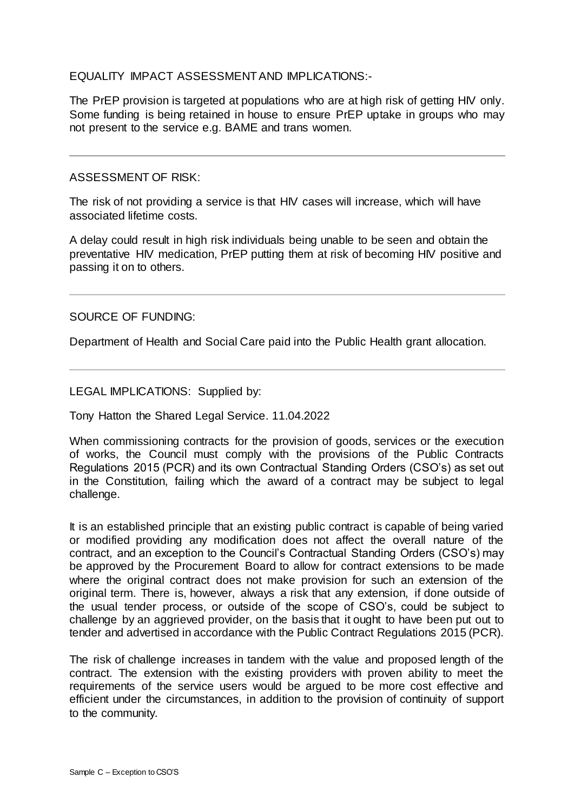EQUALITY IMPACT ASSESSMENT AND IMPLICATIONS:-

The PrEP provision is targeted at populations who are at high risk of getting HIV only. Some funding is being retained in house to ensure PrEP uptake in groups who may not present to the service e.g. BAME and trans women.

#### ASSESSMENT OF RISK:

The risk of not providing a service is that HIV cases will increase, which will have associated lifetime costs.

A delay could result in high risk individuals being unable to be seen and obtain the preventative HIV medication, PrEP putting them at risk of becoming HIV positive and passing it on to others.

SOURCE OF FUNDING:

Department of Health and Social Care paid into the Public Health grant allocation.

LEGAL IMPLICATIONS: Supplied by:

Tony Hatton the Shared Legal Service. 11.04.2022

When commissioning contracts for the provision of goods, services or the execution of works, the Council must comply with the provisions of the Public Contracts Regulations 2015 (PCR) and its own Contractual Standing Orders (CSO's) as set out in the Constitution, failing which the award of a contract may be subject to legal challenge.

It is an established principle that an existing public contract is capable of being varied or modified providing any modification does not affect the overall nature of the contract, and an exception to the Council's Contractual Standing Orders (CSO's) may be approved by the Procurement Board to allow for contract extensions to be made where the original contract does not make provision for such an extension of the original term. There is, however, always a risk that any extension, if done outside of the usual tender process, or outside of the scope of CSO's, could be subject to challenge by an aggrieved provider, on the basis that it ought to have been put out to tender and advertised in accordance with the Public Contract Regulations 2015 (PCR).

The risk of challenge increases in tandem with the value and proposed length of the contract. The extension with the existing providers with proven ability to meet the requirements of the service users would be argued to be more cost effective and efficient under the circumstances, in addition to the provision of continuity of support to the community.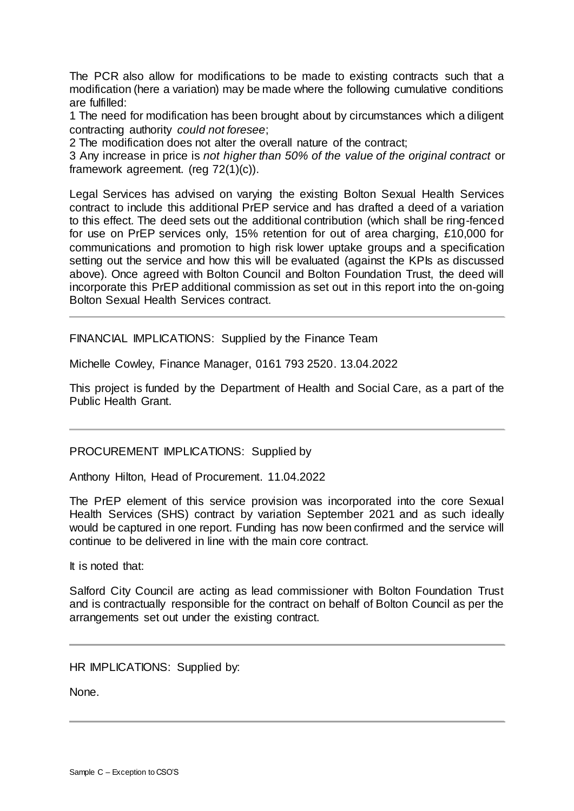The PCR also allow for modifications to be made to existing contracts such that a modification (here a variation) may be made where the following cumulative conditions are fulfilled:

1 The need for modification has been brought about by circumstances which a diligent contracting authority *could not foresee*;

2 The modification does not alter the overall nature of the contract;

3 Any increase in price is *not higher than 50% of the value of the original contract* or framework agreement. (reg 72(1)(c)).

Legal Services has advised on varying the existing Bolton Sexual Health Services contract to include this additional PrEP service and has drafted a deed of a variation to this effect. The deed sets out the additional contribution (which shall be ring-fenced for use on PrEP services only, 15% retention for out of area charging, £10,000 for communications and promotion to high risk lower uptake groups and a specification setting out the service and how this will be evaluated (against the KPIs as discussed above). Once agreed with Bolton Council and Bolton Foundation Trust, the deed will incorporate this PrEP additional commission as set out in this report into the on-going Bolton Sexual Health Services contract.

FINANCIAL IMPLICATIONS: Supplied by the Finance Team

Michelle Cowley, Finance Manager, 0161 793 2520. 13.04.2022

This project is funded by the Department of Health and Social Care, as a part of the Public Health Grant.

PROCUREMENT IMPLICATIONS: Supplied by

Anthony Hilton, Head of Procurement. 11.04.2022

The PrEP element of this service provision was incorporated into the core Sexual Health Services (SHS) contract by variation September 2021 and as such ideally would be captured in one report. Funding has now been confirmed and the service will continue to be delivered in line with the main core contract.

It is noted that:

Salford City Council are acting as lead commissioner with Bolton Foundation Trust and is contractually responsible for the contract on behalf of Bolton Council as per the arrangements set out under the existing contract.

HR IMPLICATIONS: Supplied by:

None.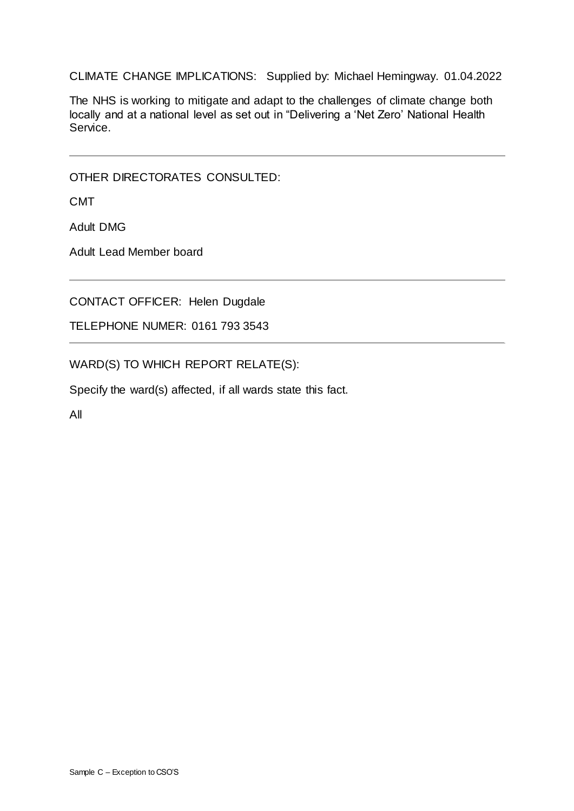CLIMATE CHANGE IMPLICATIONS: Supplied by: Michael Hemingway. 01.04.2022

The NHS is working to mitigate and adapt to the challenges of climate change both locally and at a national level as set out in "Delivering a 'Net Zero' National Health Service.

OTHER DIRECTORATES CONSULTED:

CMT

Adult DMG

Adult Lead Member board

CONTACT OFFICER: Helen Dugdale

TELEPHONE NUMER: 0161 793 3543

WARD(S) TO WHICH REPORT RELATE(S):

Specify the ward(s) affected, if all wards state this fact.

All